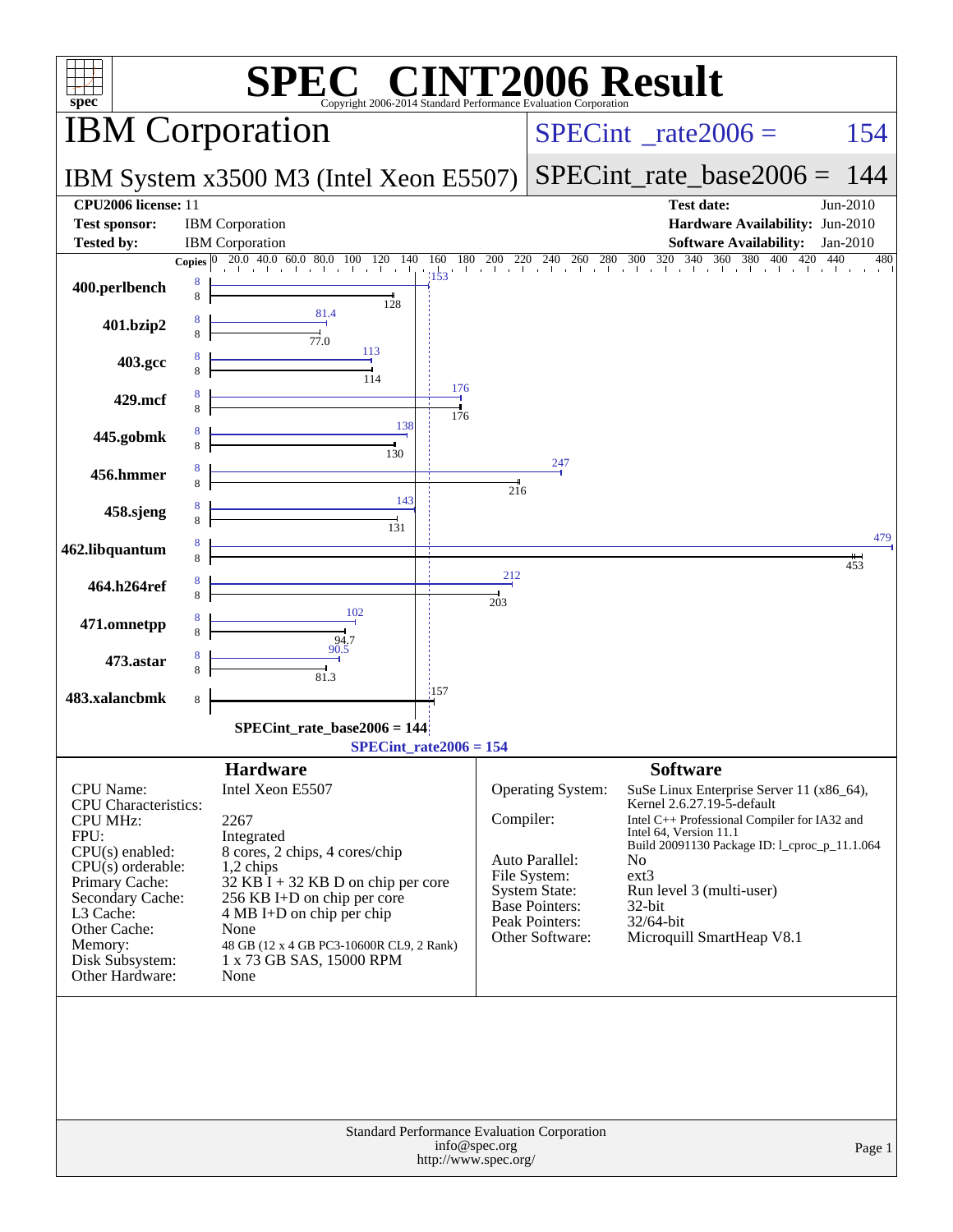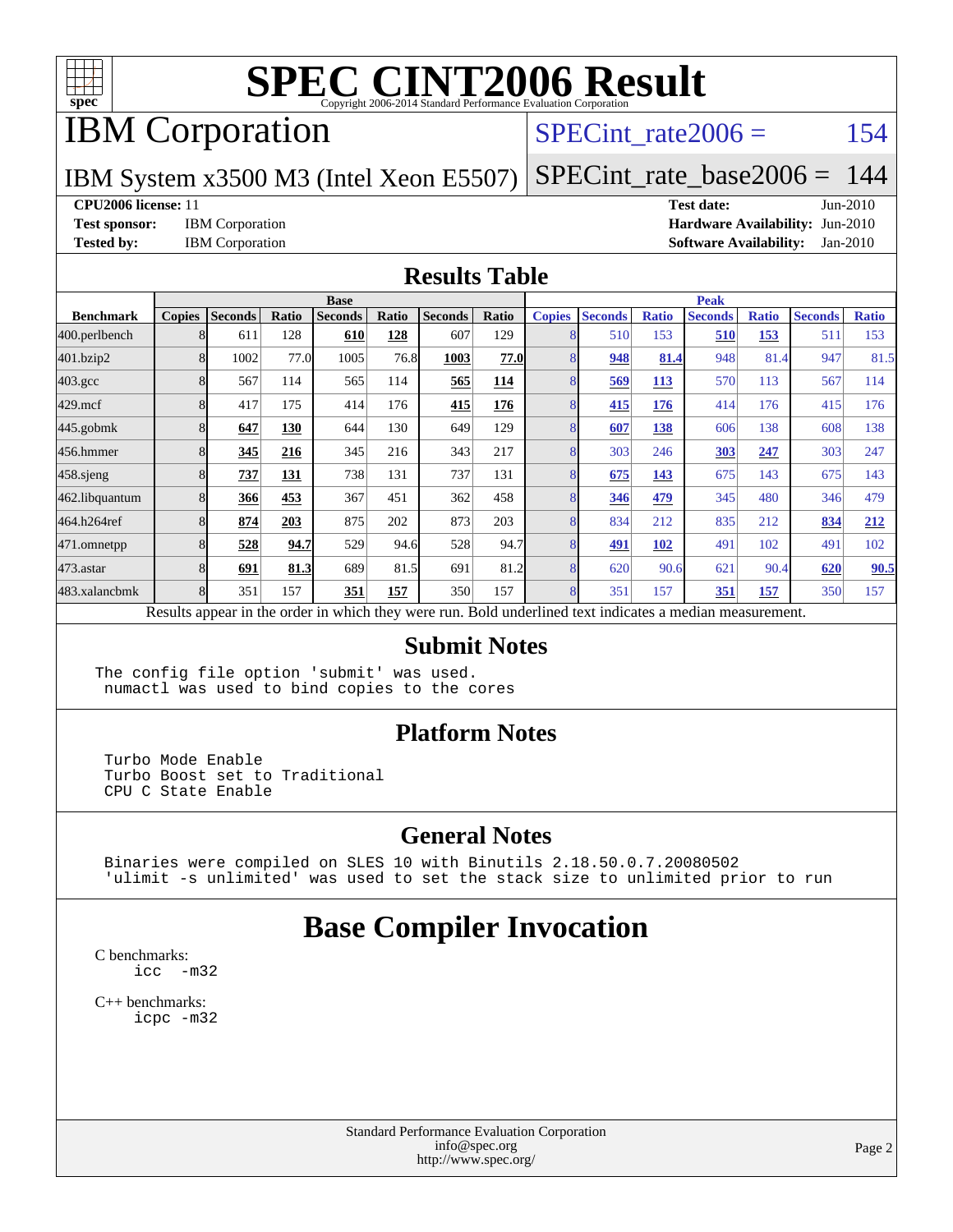

## IBM Corporation

#### SPECint rate $2006 = 154$

#### IBM System x3500 M3 (Intel Xeon E5507) [SPECint\\_rate\\_base2006 =](http://www.spec.org/auto/cpu2006/Docs/result-fields.html#SPECintratebase2006) 144

**[CPU2006 license:](http://www.spec.org/auto/cpu2006/Docs/result-fields.html#CPU2006license)** 11 **[Test date:](http://www.spec.org/auto/cpu2006/Docs/result-fields.html#Testdate)** Jun-2010

**[Test sponsor:](http://www.spec.org/auto/cpu2006/Docs/result-fields.html#Testsponsor)** IBM Corporation **[Hardware Availability:](http://www.spec.org/auto/cpu2006/Docs/result-fields.html#HardwareAvailability)** Jun-2010 **[Tested by:](http://www.spec.org/auto/cpu2006/Docs/result-fields.html#Testedby)** IBM Corporation **[Software Availability:](http://www.spec.org/auto/cpu2006/Docs/result-fields.html#SoftwareAvailability)** Jan-2010

#### **[Results Table](http://www.spec.org/auto/cpu2006/Docs/result-fields.html#ResultsTable)**

|                    | <b>Base</b>   |                |       |                                                                                                          |       |                |       | <b>Peak</b>   |                |              |                |              |                |              |
|--------------------|---------------|----------------|-------|----------------------------------------------------------------------------------------------------------|-------|----------------|-------|---------------|----------------|--------------|----------------|--------------|----------------|--------------|
| <b>Benchmark</b>   | <b>Copies</b> | <b>Seconds</b> | Ratio | <b>Seconds</b>                                                                                           | Ratio | <b>Seconds</b> | Ratio | <b>Copies</b> | <b>Seconds</b> | <b>Ratio</b> | <b>Seconds</b> | <b>Ratio</b> | <b>Seconds</b> | <b>Ratio</b> |
| 400.perlbench      | 8             | 611            | 128   | 610                                                                                                      | 128   | 607            | 129   | 8             | 510            | 153          | 510            | 153          | 511            | 153          |
| 401.bzip2          | 8             | 1002           | 77.0  | 1005                                                                                                     | 76.8  | 1003           | 77.0  | 8             | 948            | 81.4         | 948            | 81.4         | 947            | 81.5         |
| $403.\mathrm{gcc}$ | 8             | 567            | 114   | 565                                                                                                      | 114   | 565            | 114   | 8             | 569            | <b>113</b>   | 570            | 113          | 567            | 114          |
| $429$ .mcf         | 8             | 417            | 175   | 414                                                                                                      | 176   | 415            | 176   | 8             | 415            | 176          | 414            | 176          | 415            | 176          |
| $445$ .gobmk       | 8             | 647            | 130   | 644                                                                                                      | 130   | 649            | 129   | 8             | 607            | 138          | 606            | 138          | 608            | 138          |
| 456.hmmer          | 8             | 345            | 216   | 345                                                                                                      | 216   | 343            | 217   | 8             | 303            | 246          | 303            | 247          | 303            | 247          |
| $458$ .sjeng       | 8             | 737            | 131   | 738                                                                                                      | 131   | 737            | 131   | 8             | 675            | 143          | 675            | 143          | 675            | 143          |
| 462.libquantum     | 8             | 366            | 453   | 367                                                                                                      | 451   | 362            | 458   | 8             | 346            | 479          | 345            | 480          | 346            | 479          |
| 464.h264ref        | 8             | 874            | 203   | 875                                                                                                      | 202   | 873            | 203   | 8             | 834            | 212          | 835            | 212          | 834            | 212          |
| 471.omnetpp        | 8             | 528            | 94.7  | 529                                                                                                      | 94.6  | 528            | 94.7  | 8             | 491            | <b>102</b>   | 491            | 102          | 491            | 102          |
| $473.$ astar       | 8             | 691            | 81.3  | 689                                                                                                      | 81.5  | 691            | 81.2  | 8             | 620            | 90.6         | 621            | 90.4         | 620            | 90.5         |
| 483.xalancbmk      | 8             | 351            | 157   | 351                                                                                                      | 157   | 350            | 157   | 8             | 351            | 157          | 351            | 157          | 350            | 157          |
|                    |               |                |       | Results appear in the order in which they were run. Bold underlined text indicates a median measurement. |       |                |       |               |                |              |                |              |                |              |

#### **[Submit Notes](http://www.spec.org/auto/cpu2006/Docs/result-fields.html#SubmitNotes)**

The config file option 'submit' was used. numactl was used to bind copies to the cores

#### **[Platform Notes](http://www.spec.org/auto/cpu2006/Docs/result-fields.html#PlatformNotes)**

 Turbo Mode Enable Turbo Boost set to Traditional CPU C State Enable

#### **[General Notes](http://www.spec.org/auto/cpu2006/Docs/result-fields.html#GeneralNotes)**

 Binaries were compiled on SLES 10 with Binutils 2.18.50.0.7.20080502 'ulimit -s unlimited' was used to set the stack size to unlimited prior to run

#### **[Base Compiler Invocation](http://www.spec.org/auto/cpu2006/Docs/result-fields.html#BaseCompilerInvocation)**

[C benchmarks](http://www.spec.org/auto/cpu2006/Docs/result-fields.html#Cbenchmarks): [icc -m32](http://www.spec.org/cpu2006/results/res2010q3/cpu2006-20100719-12518.flags.html#user_CCbase_intel_icc_32bit_5ff4a39e364c98233615fdd38438c6f2)

[C++ benchmarks:](http://www.spec.org/auto/cpu2006/Docs/result-fields.html#CXXbenchmarks) [icpc -m32](http://www.spec.org/cpu2006/results/res2010q3/cpu2006-20100719-12518.flags.html#user_CXXbase_intel_icpc_32bit_4e5a5ef1a53fd332b3c49e69c3330699)

> Standard Performance Evaluation Corporation [info@spec.org](mailto:info@spec.org) <http://www.spec.org/>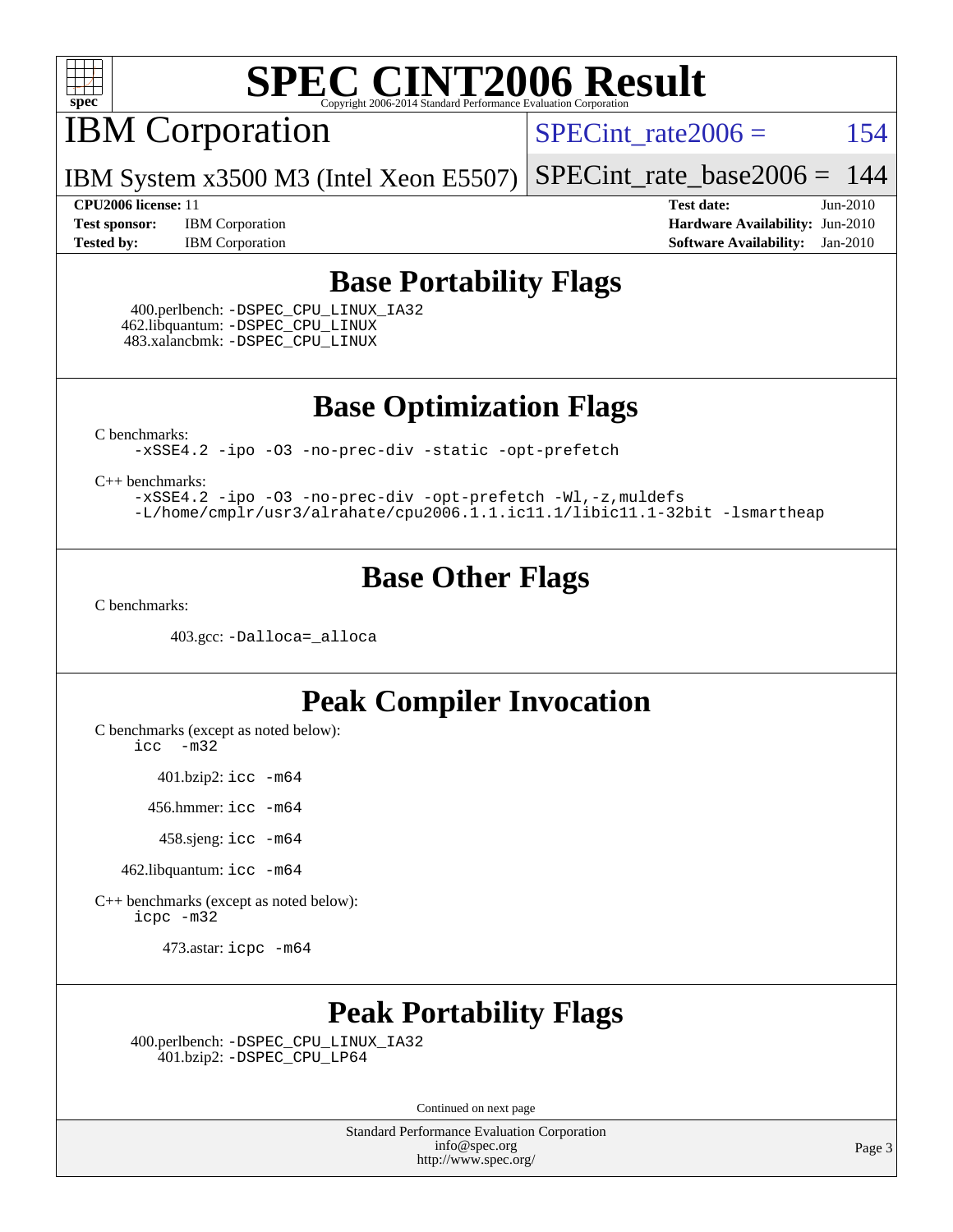

IBM Corporation

 $SPECTnt_rate2006 = 154$ 

IBM System x3500 M3 (Intel Xeon E5507) [SPECint\\_rate\\_base2006 =](http://www.spec.org/auto/cpu2006/Docs/result-fields.html#SPECintratebase2006) 144

**[Test sponsor:](http://www.spec.org/auto/cpu2006/Docs/result-fields.html#Testsponsor)** IBM Corporation **[Hardware Availability:](http://www.spec.org/auto/cpu2006/Docs/result-fields.html#HardwareAvailability)** Jun-2010 **[Tested by:](http://www.spec.org/auto/cpu2006/Docs/result-fields.html#Testedby)** IBM Corporation **[Software Availability:](http://www.spec.org/auto/cpu2006/Docs/result-fields.html#SoftwareAvailability)** Jan-2010

**[CPU2006 license:](http://www.spec.org/auto/cpu2006/Docs/result-fields.html#CPU2006license)** 11 **[Test date:](http://www.spec.org/auto/cpu2006/Docs/result-fields.html#Testdate)** Jun-2010

#### **[Base Portability Flags](http://www.spec.org/auto/cpu2006/Docs/result-fields.html#BasePortabilityFlags)**

 400.perlbench: [-DSPEC\\_CPU\\_LINUX\\_IA32](http://www.spec.org/cpu2006/results/res2010q3/cpu2006-20100719-12518.flags.html#b400.perlbench_baseCPORTABILITY_DSPEC_CPU_LINUX_IA32) 462.libquantum: [-DSPEC\\_CPU\\_LINUX](http://www.spec.org/cpu2006/results/res2010q3/cpu2006-20100719-12518.flags.html#b462.libquantum_baseCPORTABILITY_DSPEC_CPU_LINUX) 483.xalancbmk: [-DSPEC\\_CPU\\_LINUX](http://www.spec.org/cpu2006/results/res2010q3/cpu2006-20100719-12518.flags.html#b483.xalancbmk_baseCXXPORTABILITY_DSPEC_CPU_LINUX)

**[Base Optimization Flags](http://www.spec.org/auto/cpu2006/Docs/result-fields.html#BaseOptimizationFlags)**

[C benchmarks](http://www.spec.org/auto/cpu2006/Docs/result-fields.html#Cbenchmarks):

[-xSSE4.2](http://www.spec.org/cpu2006/results/res2010q3/cpu2006-20100719-12518.flags.html#user_CCbase_f-xSSE42_f91528193cf0b216347adb8b939d4107) [-ipo](http://www.spec.org/cpu2006/results/res2010q3/cpu2006-20100719-12518.flags.html#user_CCbase_f-ipo) [-O3](http://www.spec.org/cpu2006/results/res2010q3/cpu2006-20100719-12518.flags.html#user_CCbase_f-O3) [-no-prec-div](http://www.spec.org/cpu2006/results/res2010q3/cpu2006-20100719-12518.flags.html#user_CCbase_f-no-prec-div) [-static](http://www.spec.org/cpu2006/results/res2010q3/cpu2006-20100719-12518.flags.html#user_CCbase_f-static) [-opt-prefetch](http://www.spec.org/cpu2006/results/res2010q3/cpu2006-20100719-12518.flags.html#user_CCbase_f-opt-prefetch)

[C++ benchmarks:](http://www.spec.org/auto/cpu2006/Docs/result-fields.html#CXXbenchmarks)

[-xSSE4.2](http://www.spec.org/cpu2006/results/res2010q3/cpu2006-20100719-12518.flags.html#user_CXXbase_f-xSSE42_f91528193cf0b216347adb8b939d4107) [-ipo](http://www.spec.org/cpu2006/results/res2010q3/cpu2006-20100719-12518.flags.html#user_CXXbase_f-ipo) [-O3](http://www.spec.org/cpu2006/results/res2010q3/cpu2006-20100719-12518.flags.html#user_CXXbase_f-O3) [-no-prec-div](http://www.spec.org/cpu2006/results/res2010q3/cpu2006-20100719-12518.flags.html#user_CXXbase_f-no-prec-div) [-opt-prefetch](http://www.spec.org/cpu2006/results/res2010q3/cpu2006-20100719-12518.flags.html#user_CXXbase_f-opt-prefetch) [-Wl,-z,muldefs](http://www.spec.org/cpu2006/results/res2010q3/cpu2006-20100719-12518.flags.html#user_CXXbase_link_force_multiple1_74079c344b956b9658436fd1b6dd3a8a) [-L/home/cmplr/usr3/alrahate/cpu2006.1.1.ic11.1/libic11.1-32bit -lsmartheap](http://www.spec.org/cpu2006/results/res2010q3/cpu2006-20100719-12518.flags.html#user_CXXbase_SmartHeap_d86dffe4a79b79ef8890d5cce17030c3)

#### **[Base Other Flags](http://www.spec.org/auto/cpu2006/Docs/result-fields.html#BaseOtherFlags)**

[C benchmarks](http://www.spec.org/auto/cpu2006/Docs/result-fields.html#Cbenchmarks):

403.gcc: [-Dalloca=\\_alloca](http://www.spec.org/cpu2006/results/res2010q3/cpu2006-20100719-12518.flags.html#b403.gcc_baseEXTRA_CFLAGS_Dalloca_be3056838c12de2578596ca5467af7f3)

#### **[Peak Compiler Invocation](http://www.spec.org/auto/cpu2006/Docs/result-fields.html#PeakCompilerInvocation)**

[C benchmarks \(except as noted below\)](http://www.spec.org/auto/cpu2006/Docs/result-fields.html#Cbenchmarksexceptasnotedbelow):

[icc -m32](http://www.spec.org/cpu2006/results/res2010q3/cpu2006-20100719-12518.flags.html#user_CCpeak_intel_icc_32bit_5ff4a39e364c98233615fdd38438c6f2)

401.bzip2: [icc -m64](http://www.spec.org/cpu2006/results/res2010q3/cpu2006-20100719-12518.flags.html#user_peakCCLD401_bzip2_intel_icc_64bit_bda6cc9af1fdbb0edc3795bac97ada53)

456.hmmer: [icc -m64](http://www.spec.org/cpu2006/results/res2010q3/cpu2006-20100719-12518.flags.html#user_peakCCLD456_hmmer_intel_icc_64bit_bda6cc9af1fdbb0edc3795bac97ada53)

458.sjeng: [icc -m64](http://www.spec.org/cpu2006/results/res2010q3/cpu2006-20100719-12518.flags.html#user_peakCCLD458_sjeng_intel_icc_64bit_bda6cc9af1fdbb0edc3795bac97ada53)

462.libquantum: [icc -m64](http://www.spec.org/cpu2006/results/res2010q3/cpu2006-20100719-12518.flags.html#user_peakCCLD462_libquantum_intel_icc_64bit_bda6cc9af1fdbb0edc3795bac97ada53)

[C++ benchmarks \(except as noted below\):](http://www.spec.org/auto/cpu2006/Docs/result-fields.html#CXXbenchmarksexceptasnotedbelow) [icpc -m32](http://www.spec.org/cpu2006/results/res2010q3/cpu2006-20100719-12518.flags.html#user_CXXpeak_intel_icpc_32bit_4e5a5ef1a53fd332b3c49e69c3330699)

473.astar: [icpc -m64](http://www.spec.org/cpu2006/results/res2010q3/cpu2006-20100719-12518.flags.html#user_peakCXXLD473_astar_intel_icpc_64bit_fc66a5337ce925472a5c54ad6a0de310)

### **[Peak Portability Flags](http://www.spec.org/auto/cpu2006/Docs/result-fields.html#PeakPortabilityFlags)**

 400.perlbench: [-DSPEC\\_CPU\\_LINUX\\_IA32](http://www.spec.org/cpu2006/results/res2010q3/cpu2006-20100719-12518.flags.html#b400.perlbench_peakCPORTABILITY_DSPEC_CPU_LINUX_IA32) 401.bzip2: [-DSPEC\\_CPU\\_LP64](http://www.spec.org/cpu2006/results/res2010q3/cpu2006-20100719-12518.flags.html#suite_peakCPORTABILITY401_bzip2_DSPEC_CPU_LP64)

Continued on next page

Standard Performance Evaluation Corporation [info@spec.org](mailto:info@spec.org) <http://www.spec.org/>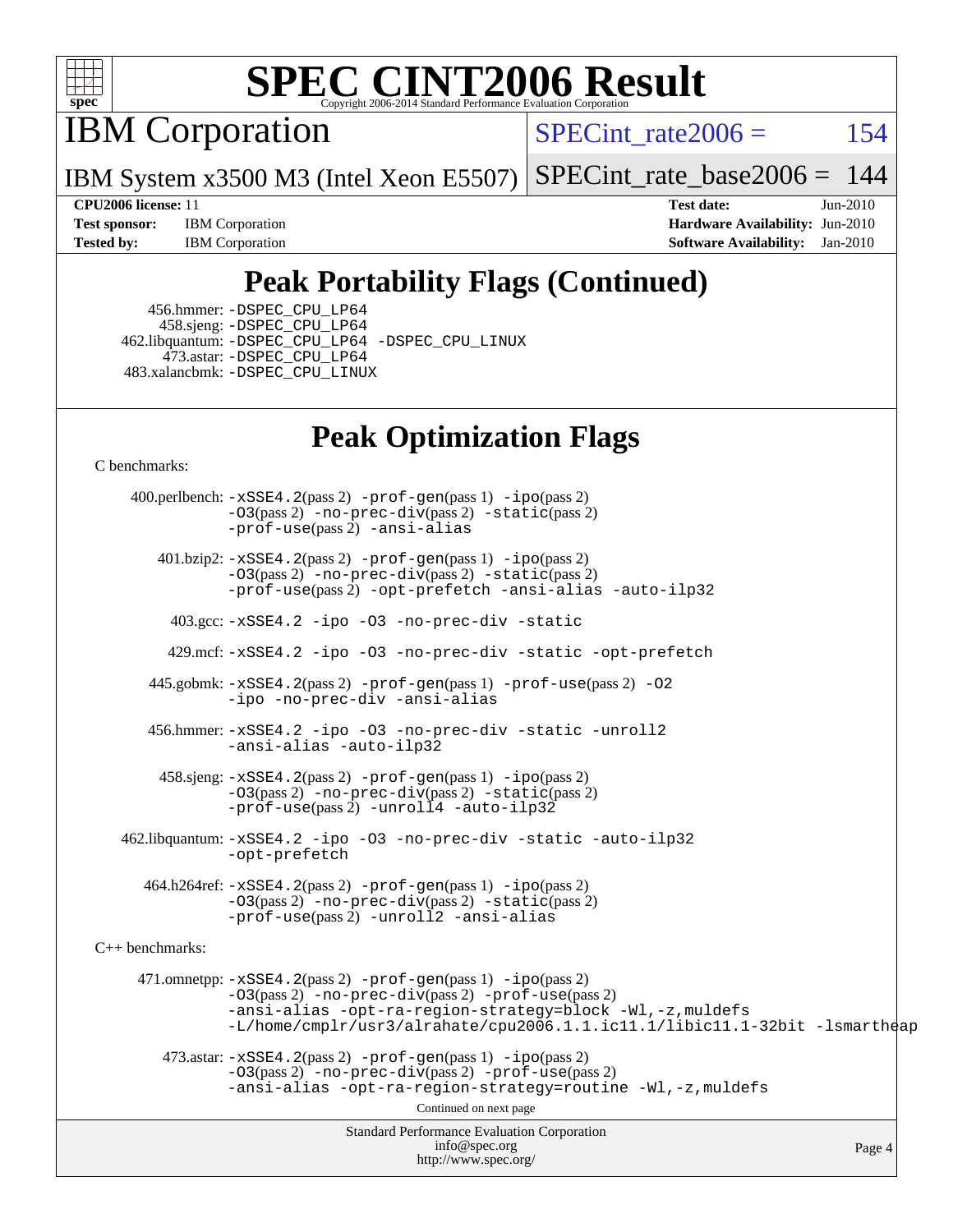

IBM Corporation

SPECint rate $2006 = 154$ 

IBM System x3500 M3 (Intel Xeon E5507) [SPECint\\_rate\\_base2006 =](http://www.spec.org/auto/cpu2006/Docs/result-fields.html#SPECintratebase2006)  $144$ 

**[Test sponsor:](http://www.spec.org/auto/cpu2006/Docs/result-fields.html#Testsponsor)** IBM Corporation **[Hardware Availability:](http://www.spec.org/auto/cpu2006/Docs/result-fields.html#HardwareAvailability)** Jun-2010 **[Tested by:](http://www.spec.org/auto/cpu2006/Docs/result-fields.html#Testedby)** IBM Corporation **[Software Availability:](http://www.spec.org/auto/cpu2006/Docs/result-fields.html#SoftwareAvailability)** Jan-2010

**[CPU2006 license:](http://www.spec.org/auto/cpu2006/Docs/result-fields.html#CPU2006license)** 11 **[Test date:](http://www.spec.org/auto/cpu2006/Docs/result-fields.html#Testdate)** Jun-2010

### **[Peak Portability Flags \(Continued\)](http://www.spec.org/auto/cpu2006/Docs/result-fields.html#PeakPortabilityFlags)**

 456.hmmer: [-DSPEC\\_CPU\\_LP64](http://www.spec.org/cpu2006/results/res2010q3/cpu2006-20100719-12518.flags.html#suite_peakCPORTABILITY456_hmmer_DSPEC_CPU_LP64) 458.sjeng: [-DSPEC\\_CPU\\_LP64](http://www.spec.org/cpu2006/results/res2010q3/cpu2006-20100719-12518.flags.html#suite_peakCPORTABILITY458_sjeng_DSPEC_CPU_LP64) 462.libquantum: [-DSPEC\\_CPU\\_LP64](http://www.spec.org/cpu2006/results/res2010q3/cpu2006-20100719-12518.flags.html#suite_peakCPORTABILITY462_libquantum_DSPEC_CPU_LP64) [-DSPEC\\_CPU\\_LINUX](http://www.spec.org/cpu2006/results/res2010q3/cpu2006-20100719-12518.flags.html#b462.libquantum_peakCPORTABILITY_DSPEC_CPU_LINUX) 473.astar: [-DSPEC\\_CPU\\_LP64](http://www.spec.org/cpu2006/results/res2010q3/cpu2006-20100719-12518.flags.html#suite_peakCXXPORTABILITY473_astar_DSPEC_CPU_LP64) 483.xalancbmk: [-DSPEC\\_CPU\\_LINUX](http://www.spec.org/cpu2006/results/res2010q3/cpu2006-20100719-12518.flags.html#b483.xalancbmk_peakCXXPORTABILITY_DSPEC_CPU_LINUX)

### **[Peak Optimization Flags](http://www.spec.org/auto/cpu2006/Docs/result-fields.html#PeakOptimizationFlags)**

[C benchmarks](http://www.spec.org/auto/cpu2006/Docs/result-fields.html#Cbenchmarks):

Standard Performance Evaluation Corporation [info@spec.org](mailto:info@spec.org) <http://www.spec.org/> Page 4 400.perlbench: [-xSSE4.2](http://www.spec.org/cpu2006/results/res2010q3/cpu2006-20100719-12518.flags.html#user_peakPASS2_CFLAGSPASS2_LDCFLAGS400_perlbench_f-xSSE42_f91528193cf0b216347adb8b939d4107)(pass 2) [-prof-gen](http://www.spec.org/cpu2006/results/res2010q3/cpu2006-20100719-12518.flags.html#user_peakPASS1_CFLAGSPASS1_LDCFLAGS400_perlbench_prof_gen_e43856698f6ca7b7e442dfd80e94a8fc)(pass 1) [-ipo](http://www.spec.org/cpu2006/results/res2010q3/cpu2006-20100719-12518.flags.html#user_peakPASS2_CFLAGSPASS2_LDCFLAGS400_perlbench_f-ipo)(pass 2) [-O3](http://www.spec.org/cpu2006/results/res2010q3/cpu2006-20100719-12518.flags.html#user_peakPASS2_CFLAGSPASS2_LDCFLAGS400_perlbench_f-O3)(pass 2) [-no-prec-div](http://www.spec.org/cpu2006/results/res2010q3/cpu2006-20100719-12518.flags.html#user_peakPASS2_CFLAGSPASS2_LDCFLAGS400_perlbench_f-no-prec-div)(pass 2) [-static](http://www.spec.org/cpu2006/results/res2010q3/cpu2006-20100719-12518.flags.html#user_peakPASS2_CFLAGSPASS2_LDCFLAGS400_perlbench_f-static)(pass 2) [-prof-use](http://www.spec.org/cpu2006/results/res2010q3/cpu2006-20100719-12518.flags.html#user_peakPASS2_CFLAGSPASS2_LDCFLAGS400_perlbench_prof_use_bccf7792157ff70d64e32fe3e1250b55)(pass 2) [-ansi-alias](http://www.spec.org/cpu2006/results/res2010q3/cpu2006-20100719-12518.flags.html#user_peakCOPTIMIZE400_perlbench_f-ansi-alias) 401.bzip2: [-xSSE4.2](http://www.spec.org/cpu2006/results/res2010q3/cpu2006-20100719-12518.flags.html#user_peakPASS2_CFLAGSPASS2_LDCFLAGS401_bzip2_f-xSSE42_f91528193cf0b216347adb8b939d4107)(pass 2) [-prof-gen](http://www.spec.org/cpu2006/results/res2010q3/cpu2006-20100719-12518.flags.html#user_peakPASS1_CFLAGSPASS1_LDCFLAGS401_bzip2_prof_gen_e43856698f6ca7b7e442dfd80e94a8fc)(pass 1) [-ipo](http://www.spec.org/cpu2006/results/res2010q3/cpu2006-20100719-12518.flags.html#user_peakPASS2_CFLAGSPASS2_LDCFLAGS401_bzip2_f-ipo)(pass 2) [-O3](http://www.spec.org/cpu2006/results/res2010q3/cpu2006-20100719-12518.flags.html#user_peakPASS2_CFLAGSPASS2_LDCFLAGS401_bzip2_f-O3)(pass 2) [-no-prec-div](http://www.spec.org/cpu2006/results/res2010q3/cpu2006-20100719-12518.flags.html#user_peakPASS2_CFLAGSPASS2_LDCFLAGS401_bzip2_f-no-prec-div)(pass 2) [-static](http://www.spec.org/cpu2006/results/res2010q3/cpu2006-20100719-12518.flags.html#user_peakPASS2_CFLAGSPASS2_LDCFLAGS401_bzip2_f-static)(pass 2) [-prof-use](http://www.spec.org/cpu2006/results/res2010q3/cpu2006-20100719-12518.flags.html#user_peakPASS2_CFLAGSPASS2_LDCFLAGS401_bzip2_prof_use_bccf7792157ff70d64e32fe3e1250b55)(pass 2) [-opt-prefetch](http://www.spec.org/cpu2006/results/res2010q3/cpu2006-20100719-12518.flags.html#user_peakCOPTIMIZE401_bzip2_f-opt-prefetch) [-ansi-alias](http://www.spec.org/cpu2006/results/res2010q3/cpu2006-20100719-12518.flags.html#user_peakCOPTIMIZE401_bzip2_f-ansi-alias) [-auto-ilp32](http://www.spec.org/cpu2006/results/res2010q3/cpu2006-20100719-12518.flags.html#user_peakCOPTIMIZE401_bzip2_f-auto-ilp32) 403.gcc: [-xSSE4.2](http://www.spec.org/cpu2006/results/res2010q3/cpu2006-20100719-12518.flags.html#user_peakCOPTIMIZE403_gcc_f-xSSE42_f91528193cf0b216347adb8b939d4107) [-ipo](http://www.spec.org/cpu2006/results/res2010q3/cpu2006-20100719-12518.flags.html#user_peakCOPTIMIZE403_gcc_f-ipo) [-O3](http://www.spec.org/cpu2006/results/res2010q3/cpu2006-20100719-12518.flags.html#user_peakCOPTIMIZE403_gcc_f-O3) [-no-prec-div](http://www.spec.org/cpu2006/results/res2010q3/cpu2006-20100719-12518.flags.html#user_peakCOPTIMIZE403_gcc_f-no-prec-div) [-static](http://www.spec.org/cpu2006/results/res2010q3/cpu2006-20100719-12518.flags.html#user_peakCOPTIMIZE403_gcc_f-static) 429.mcf: [-xSSE4.2](http://www.spec.org/cpu2006/results/res2010q3/cpu2006-20100719-12518.flags.html#user_peakCOPTIMIZE429_mcf_f-xSSE42_f91528193cf0b216347adb8b939d4107) [-ipo](http://www.spec.org/cpu2006/results/res2010q3/cpu2006-20100719-12518.flags.html#user_peakCOPTIMIZE429_mcf_f-ipo) [-O3](http://www.spec.org/cpu2006/results/res2010q3/cpu2006-20100719-12518.flags.html#user_peakCOPTIMIZE429_mcf_f-O3) [-no-prec-div](http://www.spec.org/cpu2006/results/res2010q3/cpu2006-20100719-12518.flags.html#user_peakCOPTIMIZE429_mcf_f-no-prec-div) [-static](http://www.spec.org/cpu2006/results/res2010q3/cpu2006-20100719-12518.flags.html#user_peakCOPTIMIZE429_mcf_f-static) [-opt-prefetch](http://www.spec.org/cpu2006/results/res2010q3/cpu2006-20100719-12518.flags.html#user_peakCOPTIMIZE429_mcf_f-opt-prefetch) 445.gobmk: [-xSSE4.2](http://www.spec.org/cpu2006/results/res2010q3/cpu2006-20100719-12518.flags.html#user_peakPASS2_CFLAGSPASS2_LDCFLAGS445_gobmk_f-xSSE42_f91528193cf0b216347adb8b939d4107)(pass 2) [-prof-gen](http://www.spec.org/cpu2006/results/res2010q3/cpu2006-20100719-12518.flags.html#user_peakPASS1_CFLAGSPASS1_LDCFLAGS445_gobmk_prof_gen_e43856698f6ca7b7e442dfd80e94a8fc)(pass 1) [-prof-use](http://www.spec.org/cpu2006/results/res2010q3/cpu2006-20100719-12518.flags.html#user_peakPASS2_CFLAGSPASS2_LDCFLAGS445_gobmk_prof_use_bccf7792157ff70d64e32fe3e1250b55)(pass 2) [-O2](http://www.spec.org/cpu2006/results/res2010q3/cpu2006-20100719-12518.flags.html#user_peakCOPTIMIZE445_gobmk_f-O2) [-ipo](http://www.spec.org/cpu2006/results/res2010q3/cpu2006-20100719-12518.flags.html#user_peakCOPTIMIZE445_gobmk_f-ipo) [-no-prec-div](http://www.spec.org/cpu2006/results/res2010q3/cpu2006-20100719-12518.flags.html#user_peakCOPTIMIZE445_gobmk_f-no-prec-div) [-ansi-alias](http://www.spec.org/cpu2006/results/res2010q3/cpu2006-20100719-12518.flags.html#user_peakCOPTIMIZE445_gobmk_f-ansi-alias) 456.hmmer: [-xSSE4.2](http://www.spec.org/cpu2006/results/res2010q3/cpu2006-20100719-12518.flags.html#user_peakCOPTIMIZE456_hmmer_f-xSSE42_f91528193cf0b216347adb8b939d4107) [-ipo](http://www.spec.org/cpu2006/results/res2010q3/cpu2006-20100719-12518.flags.html#user_peakCOPTIMIZE456_hmmer_f-ipo) [-O3](http://www.spec.org/cpu2006/results/res2010q3/cpu2006-20100719-12518.flags.html#user_peakCOPTIMIZE456_hmmer_f-O3) [-no-prec-div](http://www.spec.org/cpu2006/results/res2010q3/cpu2006-20100719-12518.flags.html#user_peakCOPTIMIZE456_hmmer_f-no-prec-div) [-static](http://www.spec.org/cpu2006/results/res2010q3/cpu2006-20100719-12518.flags.html#user_peakCOPTIMIZE456_hmmer_f-static) [-unroll2](http://www.spec.org/cpu2006/results/res2010q3/cpu2006-20100719-12518.flags.html#user_peakCOPTIMIZE456_hmmer_f-unroll_784dae83bebfb236979b41d2422d7ec2) [-ansi-alias](http://www.spec.org/cpu2006/results/res2010q3/cpu2006-20100719-12518.flags.html#user_peakCOPTIMIZE456_hmmer_f-ansi-alias) [-auto-ilp32](http://www.spec.org/cpu2006/results/res2010q3/cpu2006-20100719-12518.flags.html#user_peakCOPTIMIZE456_hmmer_f-auto-ilp32) 458.sjeng: [-xSSE4.2](http://www.spec.org/cpu2006/results/res2010q3/cpu2006-20100719-12518.flags.html#user_peakPASS2_CFLAGSPASS2_LDCFLAGS458_sjeng_f-xSSE42_f91528193cf0b216347adb8b939d4107)(pass 2) [-prof-gen](http://www.spec.org/cpu2006/results/res2010q3/cpu2006-20100719-12518.flags.html#user_peakPASS1_CFLAGSPASS1_LDCFLAGS458_sjeng_prof_gen_e43856698f6ca7b7e442dfd80e94a8fc)(pass 1) [-ipo](http://www.spec.org/cpu2006/results/res2010q3/cpu2006-20100719-12518.flags.html#user_peakPASS2_CFLAGSPASS2_LDCFLAGS458_sjeng_f-ipo)(pass 2) [-O3](http://www.spec.org/cpu2006/results/res2010q3/cpu2006-20100719-12518.flags.html#user_peakPASS2_CFLAGSPASS2_LDCFLAGS458_sjeng_f-O3)(pass 2) [-no-prec-div](http://www.spec.org/cpu2006/results/res2010q3/cpu2006-20100719-12518.flags.html#user_peakPASS2_CFLAGSPASS2_LDCFLAGS458_sjeng_f-no-prec-div)(pass 2) [-static](http://www.spec.org/cpu2006/results/res2010q3/cpu2006-20100719-12518.flags.html#user_peakPASS2_CFLAGSPASS2_LDCFLAGS458_sjeng_f-static)(pass 2) [-prof-use](http://www.spec.org/cpu2006/results/res2010q3/cpu2006-20100719-12518.flags.html#user_peakPASS2_CFLAGSPASS2_LDCFLAGS458_sjeng_prof_use_bccf7792157ff70d64e32fe3e1250b55)(pass 2) [-unroll4](http://www.spec.org/cpu2006/results/res2010q3/cpu2006-20100719-12518.flags.html#user_peakCOPTIMIZE458_sjeng_f-unroll_4e5e4ed65b7fd20bdcd365bec371b81f) [-auto-ilp32](http://www.spec.org/cpu2006/results/res2010q3/cpu2006-20100719-12518.flags.html#user_peakCOPTIMIZE458_sjeng_f-auto-ilp32) 462.libquantum: [-xSSE4.2](http://www.spec.org/cpu2006/results/res2010q3/cpu2006-20100719-12518.flags.html#user_peakCOPTIMIZE462_libquantum_f-xSSE42_f91528193cf0b216347adb8b939d4107) [-ipo](http://www.spec.org/cpu2006/results/res2010q3/cpu2006-20100719-12518.flags.html#user_peakCOPTIMIZE462_libquantum_f-ipo) [-O3](http://www.spec.org/cpu2006/results/res2010q3/cpu2006-20100719-12518.flags.html#user_peakCOPTIMIZE462_libquantum_f-O3) [-no-prec-div](http://www.spec.org/cpu2006/results/res2010q3/cpu2006-20100719-12518.flags.html#user_peakCOPTIMIZE462_libquantum_f-no-prec-div) [-static](http://www.spec.org/cpu2006/results/res2010q3/cpu2006-20100719-12518.flags.html#user_peakCOPTIMIZE462_libquantum_f-static) [-auto-ilp32](http://www.spec.org/cpu2006/results/res2010q3/cpu2006-20100719-12518.flags.html#user_peakCOPTIMIZE462_libquantum_f-auto-ilp32) [-opt-prefetch](http://www.spec.org/cpu2006/results/res2010q3/cpu2006-20100719-12518.flags.html#user_peakCOPTIMIZE462_libquantum_f-opt-prefetch) 464.h264ref: [-xSSE4.2](http://www.spec.org/cpu2006/results/res2010q3/cpu2006-20100719-12518.flags.html#user_peakPASS2_CFLAGSPASS2_LDCFLAGS464_h264ref_f-xSSE42_f91528193cf0b216347adb8b939d4107)(pass 2) [-prof-gen](http://www.spec.org/cpu2006/results/res2010q3/cpu2006-20100719-12518.flags.html#user_peakPASS1_CFLAGSPASS1_LDCFLAGS464_h264ref_prof_gen_e43856698f6ca7b7e442dfd80e94a8fc)(pass 1) [-ipo](http://www.spec.org/cpu2006/results/res2010q3/cpu2006-20100719-12518.flags.html#user_peakPASS2_CFLAGSPASS2_LDCFLAGS464_h264ref_f-ipo)(pass 2) [-O3](http://www.spec.org/cpu2006/results/res2010q3/cpu2006-20100719-12518.flags.html#user_peakPASS2_CFLAGSPASS2_LDCFLAGS464_h264ref_f-O3)(pass 2) [-no-prec-div](http://www.spec.org/cpu2006/results/res2010q3/cpu2006-20100719-12518.flags.html#user_peakPASS2_CFLAGSPASS2_LDCFLAGS464_h264ref_f-no-prec-div)(pass 2) [-static](http://www.spec.org/cpu2006/results/res2010q3/cpu2006-20100719-12518.flags.html#user_peakPASS2_CFLAGSPASS2_LDCFLAGS464_h264ref_f-static)(pass 2) [-prof-use](http://www.spec.org/cpu2006/results/res2010q3/cpu2006-20100719-12518.flags.html#user_peakPASS2_CFLAGSPASS2_LDCFLAGS464_h264ref_prof_use_bccf7792157ff70d64e32fe3e1250b55)(pass 2) [-unroll2](http://www.spec.org/cpu2006/results/res2010q3/cpu2006-20100719-12518.flags.html#user_peakCOPTIMIZE464_h264ref_f-unroll_784dae83bebfb236979b41d2422d7ec2) [-ansi-alias](http://www.spec.org/cpu2006/results/res2010q3/cpu2006-20100719-12518.flags.html#user_peakCOPTIMIZE464_h264ref_f-ansi-alias) [C++ benchmarks:](http://www.spec.org/auto/cpu2006/Docs/result-fields.html#CXXbenchmarks) 471.omnetpp: [-xSSE4.2](http://www.spec.org/cpu2006/results/res2010q3/cpu2006-20100719-12518.flags.html#user_peakPASS2_CXXFLAGSPASS2_LDCXXFLAGS471_omnetpp_f-xSSE42_f91528193cf0b216347adb8b939d4107)(pass 2) [-prof-gen](http://www.spec.org/cpu2006/results/res2010q3/cpu2006-20100719-12518.flags.html#user_peakPASS1_CXXFLAGSPASS1_LDCXXFLAGS471_omnetpp_prof_gen_e43856698f6ca7b7e442dfd80e94a8fc)(pass 1) [-ipo](http://www.spec.org/cpu2006/results/res2010q3/cpu2006-20100719-12518.flags.html#user_peakPASS2_CXXFLAGSPASS2_LDCXXFLAGS471_omnetpp_f-ipo)(pass 2) [-O3](http://www.spec.org/cpu2006/results/res2010q3/cpu2006-20100719-12518.flags.html#user_peakPASS2_CXXFLAGSPASS2_LDCXXFLAGS471_omnetpp_f-O3)(pass 2) [-no-prec-div](http://www.spec.org/cpu2006/results/res2010q3/cpu2006-20100719-12518.flags.html#user_peakPASS2_CXXFLAGSPASS2_LDCXXFLAGS471_omnetpp_f-no-prec-div)(pass 2) [-prof-use](http://www.spec.org/cpu2006/results/res2010q3/cpu2006-20100719-12518.flags.html#user_peakPASS2_CXXFLAGSPASS2_LDCXXFLAGS471_omnetpp_prof_use_bccf7792157ff70d64e32fe3e1250b55)(pass 2) [-ansi-alias](http://www.spec.org/cpu2006/results/res2010q3/cpu2006-20100719-12518.flags.html#user_peakCXXOPTIMIZE471_omnetpp_f-ansi-alias) [-opt-ra-region-strategy=block](http://www.spec.org/cpu2006/results/res2010q3/cpu2006-20100719-12518.flags.html#user_peakCXXOPTIMIZE471_omnetpp_f-opt-ra-region-strategy-block_a0a37c372d03933b2a18d4af463c1f69) [-Wl,-z,muldefs](http://www.spec.org/cpu2006/results/res2010q3/cpu2006-20100719-12518.flags.html#user_peakEXTRA_LDFLAGS471_omnetpp_link_force_multiple1_74079c344b956b9658436fd1b6dd3a8a) [-L/home/cmplr/usr3/alrahate/cpu2006.1.1.ic11.1/libic11.1-32bit -lsmartheap](http://www.spec.org/cpu2006/results/res2010q3/cpu2006-20100719-12518.flags.html#user_peakEXTRA_LIBS471_omnetpp_SmartHeap_d86dffe4a79b79ef8890d5cce17030c3)  $473.\text{astar: } -xSSE4$ .  $2(\text{pass 2})$   $-\text{prof-gen}(\text{pass 1})$   $-i\text{po}(\text{pass 2})$ [-O3](http://www.spec.org/cpu2006/results/res2010q3/cpu2006-20100719-12518.flags.html#user_peakPASS2_CXXFLAGSPASS2_LDCXXFLAGS473_astar_f-O3)(pass 2) [-no-prec-div](http://www.spec.org/cpu2006/results/res2010q3/cpu2006-20100719-12518.flags.html#user_peakPASS2_CXXFLAGSPASS2_LDCXXFLAGS473_astar_f-no-prec-div)(pass 2) [-prof-use](http://www.spec.org/cpu2006/results/res2010q3/cpu2006-20100719-12518.flags.html#user_peakPASS2_CXXFLAGSPASS2_LDCXXFLAGS473_astar_prof_use_bccf7792157ff70d64e32fe3e1250b55)(pass 2) [-ansi-alias](http://www.spec.org/cpu2006/results/res2010q3/cpu2006-20100719-12518.flags.html#user_peakCXXOPTIMIZE473_astar_f-ansi-alias) [-opt-ra-region-strategy=routine](http://www.spec.org/cpu2006/results/res2010q3/cpu2006-20100719-12518.flags.html#user_peakCXXOPTIMIZE473_astar_f-opt-ra-region-strategy-routine_ba086ea3b1d46a52e1238e2ca173ed44) [-Wl,-z,muldefs](http://www.spec.org/cpu2006/results/res2010q3/cpu2006-20100719-12518.flags.html#user_peakEXTRA_LDFLAGS473_astar_link_force_multiple1_74079c344b956b9658436fd1b6dd3a8a) Continued on next page